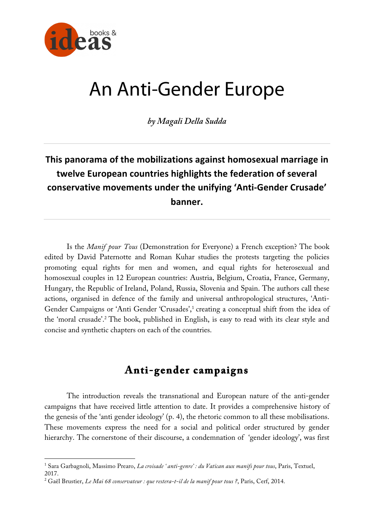

 $\overline{a}$ 

# An Anti-Gender Europe

*by Magali Della Sudda*

# **This panorama of the mobilizations against homosexual marriage in twelve European countries highlights the federation of several conservative movements under the unifying 'Anti-Gender Crusade' banner.**

Is the *Manif pour Tous* (Demonstration for Everyone) a French exception? The book edited by David Paternotte and Roman Kuhar studies the protests targeting the policies promoting equal rights for men and women, and equal rights for heterosexual and homosexual couples in 12 European countries: Austria, Belgium, Croatia, France, Germany, Hungary, the Republic of Ireland, Poland, Russia, Slovenia and Spain. The authors call these actions, organised in defence of the family and universal anthropological structures, 'Anti-Gender Campaigns or 'Anti Gender 'Crusades', <sup>1</sup> creating a conceptual shift from the idea of the 'moral crusade'.2 The book, published in English, is easy to read with its clear style and concise and synthetic chapters on each of the countries.

## **Anti-gender campaigns**

The introduction reveals the transnational and European nature of the anti-gender campaigns that have received little attention to date. It provides a comprehensive history of the genesis of the 'anti gender ideology' (p. 4), the rhetoric common to all these mobilisations. These movements express the need for a social and political order structured by gender hierarchy. The cornerstone of their discourse, a condemnation of 'gender ideology', was first

<sup>1</sup> Sara Garbagnoli, Massimo Prearo, *La croisade ' anti-genre' : du Vatican aux manifs pour tous*, Paris, Textuel, 2017.

<sup>2</sup> Gaël Brustier, *Le Mai 68 conservateur : que restera-t-il de la manif pour tous ?*, Paris, Cerf, 2014.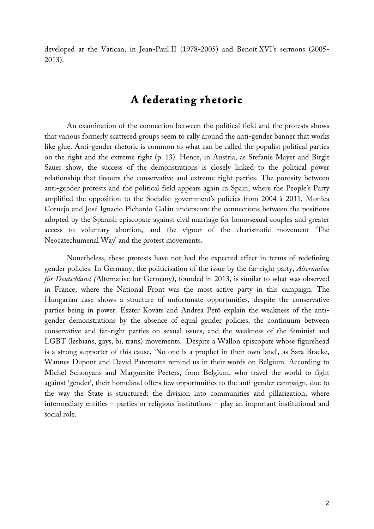developed at the Vatican, in Jean-Paul II (1978-2005) and Benoît XVI's sermons (2005- 2013).

## **A federating rhetoric**

An examination of the connection between the political field and the protests shows that various formerly scattered groups seem to rally around the anti-gender banner that works like glue. Anti-gender rhetoric is common to what can be called the populist political parties on the right and the extreme right (p. 13). Hence, in Austria, as Stefanie Mayer and Birgit Sauer show, the success of the demonstrations is closely linked to the political power relationship that favours the conservative and extreme right parties. The porosity between anti-gender protests and the political field appears again in Spain, where the People's Party amplified the opposition to the Socialist government's policies from 2004 à 2011. Monica Cornejo and José Ignacio Pichardo Galán underscore the connections between the positions adopted by the Spanish episcopate against civil marriage for homosexual couples and greater access to voluntary abortion, and the vigour of the charismatic movement 'The Neocatechumenal Way' and the protest movements.

Nonetheless, these protests have not had the expected effect in terms of redefining gender policies. In Germany, the politicisation of the issue by the far-right party, *Alternative für Deutschland (*Alternative for Germany), founded in 2013, is similar to what was observed in France, where the National Front was the most active party in this campaign. The Hungarian case shows a structure of unfortunate opportunities, despite the conservative parties being in power. Eszter Kováts and Andrea Pető explain the weakness of the antigender demonstrations by the absence of equal gender policies, the continuum between conservative and far-right parties on sexual issues, and the weakness of the feminist and LGBT (lesbians, gays, bi, trans) movements. Despite a Wallon episcopate whose figurehead is a strong supporter of this cause, 'No one is a prophet in their own land', as Sara Bracke, Wannes Dupont and David Paternotte remind us in their words on Belgium. According to Michel Schooyans and Marguerite Peeters, from Belgium, who travel the world to fight against 'gender', their homeland offers few opportunities to the anti-gender campaign, due to the way the State is structured: the division into communities and pillarization, where intermediary entities – parties or religious institutions – play an important institutional and social role.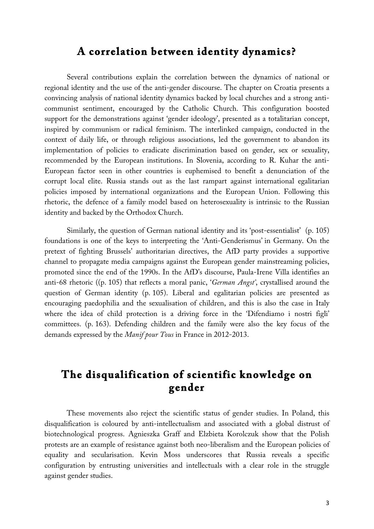#### **A correlation between identity dynamics?**

Several contributions explain the correlation between the dynamics of national or regional identity and the use of the anti-gender discourse. The chapter on Croatia presents a convincing analysis of national identity dynamics backed by local churches and a strong anticommunist sentiment, encouraged by the Catholic Church. This configuration boosted support for the demonstrations against 'gender ideology', presented as a totalitarian concept, inspired by communism or radical feminism. The interlinked campaign, conducted in the context of daily life, or through religious associations, led the government to abandon its implementation of policies to eradicate discrimination based on gender, sex or sexuality, recommended by the European institutions. In Slovenia, according to R. Kuhar the anti-European factor seen in other countries is euphemised to benefit a denunciation of the corrupt local elite. Russia stands out as the last rampart against international egalitarian policies imposed by international organizations and the European Union. Following this rhetoric, the defence of a family model based on heterosexuality is intrinsic to the Russian identity and backed by the Orthodox Church.

Similarly, the question of German national identity and its 'post-essentialist' (p. 105) foundations is one of the keys to interpreting the 'Anti-Genderismus' in Germany. On the pretext of fighting Brussels' authoritarian directives, the AfD party provides a supportive channel to propagate media campaigns against the European gender mainstreaming policies, promoted since the end of the 1990s. In the AfD's discourse, Paula-Irene Villa identifies an anti-68 rhetoric ((p. 105) that reflects a moral panic, '*German Angst'*, crystallised around the question of German identity (p. 105). Liberal and egalitarian policies are presented as encouraging paedophilia and the sexualisation of children, and this is also the case in Italy where the idea of child protection is a driving force in the 'Difendiamo i nostri figli' committees. (p. 163). Defending children and the family were also the key focus of the demands expressed by the *Manif pour Tous* in France in 2012-2013.

## **The disqualification of scientific knowledge on gender**

These movements also reject the scientific status of gender studies. In Poland, this disqualification is coloured by anti-intellectualism and associated with a global distrust of biotechnological progress. Agnieszka Graff and Elzbieta Korolczuk show that the Polish protests are an example of resistance against both neo-liberalism and the European policies of equality and secularisation. Kevin Moss underscores that Russia reveals a specific configuration by entrusting universities and intellectuals with a clear role in the struggle against gender studies.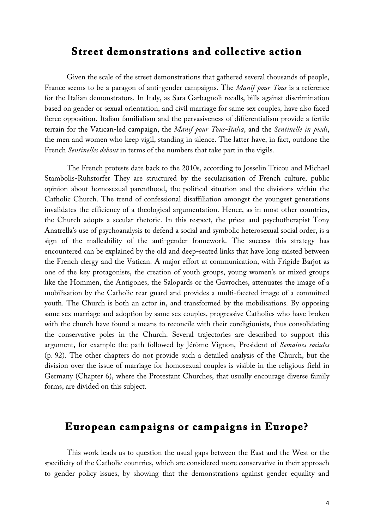#### **Street demonstrations and collective action**

Given the scale of the street demonstrations that gathered several thousands of people, France seems to be a paragon of anti-gender campaigns. The *Manif pour Tous* is a reference for the Italian demonstrators. In Italy, as Sara Garbagnoli recalls, bills against discrimination based on gender or sexual orientation, and civil marriage for same sex couples, have also faced fierce opposition. Italian familialism and the pervasiveness of differentialism provide a fertile terrain for the Vatican-led campaign, the *Manif pour Tous-Italia*, and the *Sentinelle in piedi*, the men and women who keep vigil, standing in silence. The latter have, in fact, outdone the French *Sentinelles debout* in terms of the numbers that take part in the vigils.

The French protests date back to the 2010s, according to Josselin Tricou and Michael Stambolis-Ruhstorfer They are structured by the secularisation of French culture, public opinion about homosexual parenthood, the political situation and the divisions within the Catholic Church. The trend of confessional disaffiliation amongst the youngest generations invalidates the efficiency of a theological argumentation. Hence, as in most other countries, the Church adopts a secular rhetoric. In this respect, the priest and psychotherapist Tony Anatrella's use of psychoanalysis to defend a social and symbolic heterosexual social order, is a sign of the malleability of the anti-gender framework. The success this strategy has encountered can be explained by the old and deep-seated links that have long existed between the French clergy and the Vatican. A major effort at communication, with Frigide Barjot as one of the key protagonists, the creation of youth groups, young women's or mixed groups like the Hommen, the Antigones, the Salopards or the Gavroches, attenuates the image of a mobilisation by the Catholic rear guard and provides a multi-faceted image of a committed youth. The Church is both an actor in, and transformed by the mobilisations. By opposing same sex marriage and adoption by same sex couples, progressive Catholics who have broken with the church have found a means to reconcile with their coreligionists, thus consolidating the conservative poles in the Church. Several trajectories are described to support this argument, for example the path followed by Jérôme Vignon, President of *Semaines sociales* (p. 92). The other chapters do not provide such a detailed analysis of the Church, but the division over the issue of marriage for homosexual couples is visible in the religious field in Germany (Chapter 6), where the Protestant Churches, that usually encourage diverse family forms, are divided on this subject.

### **European campaigns or campaigns in Europe?**

This work leads us to question the usual gaps between the East and the West or the specificity of the Catholic countries, which are considered more conservative in their approach to gender policy issues, by showing that the demonstrations against gender equality and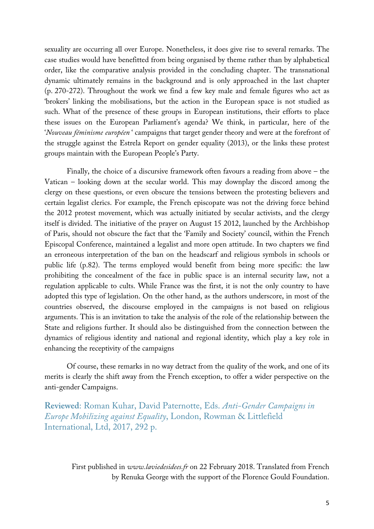sexuality are occurring all over Europe. Nonetheless, it does give rise to several remarks. The case studies would have benefitted from being organised by theme rather than by alphabetical order, like the comparative analysis provided in the concluding chapter. The transnational dynamic ultimately remains in the background and is only approached in the last chapter (p. 270-272). Throughout the work we find a few key male and female figures who act as 'brokers' linking the mobilisations, but the action in the European space is not studied as such. What of the presence of these groups in European institutions, their efforts to place these issues on the European Parliament's agenda? We think, in particular, here of the '*Nouveau féminisme européen* ' campaigns that target gender theory and were at the forefront of the struggle against the Estrela Report on gender equality (2013), or the links these protest groups maintain with the European People's Party.

Finally, the choice of a discursive framework often favours a reading from above – the Vatican – looking down at the secular world. This may downplay the discord among the clergy on these questions, or even obscure the tensions between the protesting believers and certain legalist clerics. For example, the French episcopate was not the driving force behind the 2012 protest movement, which was actually initiated by secular activists, and the clergy itself is divided. The initiative of the prayer on August 15 2012, launched by the Archbishop of Paris, should not obscure the fact that the 'Family and Society' council, within the French Episcopal Conference, maintained a legalist and more open attitude. In two chapters we find an erroneous interpretation of the ban on the headscarf and religious symbols in schools or public life (p.82). The terms employed would benefit from being more specific: the law prohibiting the concealment of the face in public space is an internal security law, not a regulation applicable to cults. While France was the first, it is not the only country to have adopted this type of legislation. On the other hand, as the authors underscore, in most of the countries observed, the discourse employed in the campaigns is not based on religious arguments. This is an invitation to take the analysis of the role of the relationship between the State and religions further. It should also be distinguished from the connection between the dynamics of religious identity and national and regional identity, which play a key role in enhancing the receptivity of the campaigns

Of course, these remarks in no way detract from the quality of the work, and one of its merits is clearly the shift away from the French exception, to offer a wider perspective on the anti-gender Campaigns.

**Reviewed**: Roman Kuhar, David Paternotte, Eds. *Anti-Gender Campaigns in Europe Mobilizing against Equality*, London, Rowman & Littlefield International, Ltd, 2017, 292 p.

First published in *www.laviedesidees.fr* on 22 February 2018. Translated from French by Renuka George with the support of the Florence Gould Foundation.